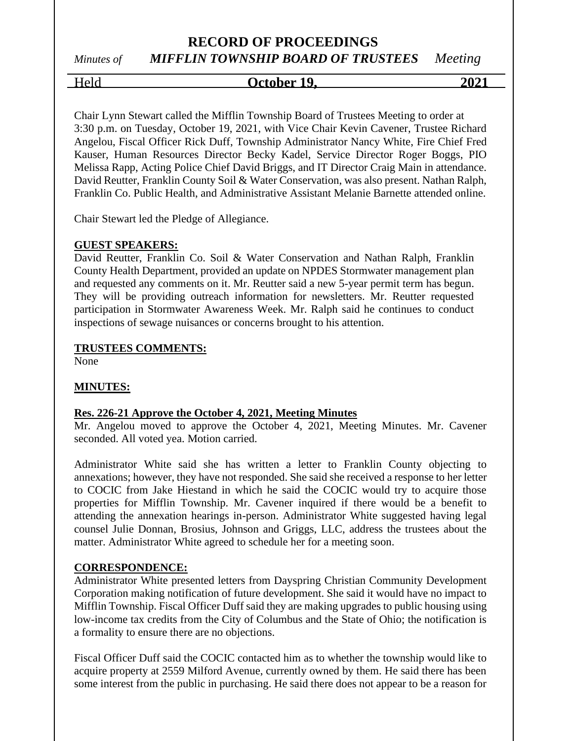# **RECORD OF PROCEEDINGS** *Minutes of MIFFLIN TOWNSHIP BOARD OF TRUSTEES Meeting*

# Held **October 19, 2021**

Chair Lynn Stewart called the Mifflin Township Board of Trustees Meeting to order at 3:30 p.m. on Tuesday, October 19, 2021, with Vice Chair Kevin Cavener, Trustee Richard Angelou, Fiscal Officer Rick Duff, Township Administrator Nancy White, Fire Chief Fred Kauser, Human Resources Director Becky Kadel, Service Director Roger Boggs, PIO Melissa Rapp, Acting Police Chief David Briggs, and IT Director Craig Main in attendance. David Reutter, Franklin County Soil & Water Conservation, was also present. Nathan Ralph, Franklin Co. Public Health, and Administrative Assistant Melanie Barnette attended online.

Chair Stewart led the Pledge of Allegiance.

#### **GUEST SPEAKERS:**

David Reutter, Franklin Co. Soil & Water Conservation and Nathan Ralph, Franklin County Health Department, provided an update on NPDES Stormwater management plan and requested any comments on it. Mr. Reutter said a new 5-year permit term has begun. They will be providing outreach information for newsletters. Mr. Reutter requested participation in Stormwater Awareness Week. Mr. Ralph said he continues to conduct inspections of sewage nuisances or concerns brought to his attention.

#### **TRUSTEES COMMENTS:**

None

#### **MINUTES:**

#### **Res. 226-21 Approve the October 4, 2021, Meeting Minutes**

Mr. Angelou moved to approve the October 4, 2021, Meeting Minutes. Mr. Cavener seconded. All voted yea. Motion carried.

Administrator White said she has written a letter to Franklin County objecting to annexations; however, they have not responded. She said she received a response to her letter to COCIC from Jake Hiestand in which he said the COCIC would try to acquire those properties for Mifflin Township. Mr. Cavener inquired if there would be a benefit to attending the annexation hearings in-person. Administrator White suggested having legal counsel Julie Donnan, Brosius, Johnson and Griggs, LLC, address the trustees about the matter. Administrator White agreed to schedule her for a meeting soon.

#### **CORRESPONDENCE:**

Administrator White presented letters from Dayspring Christian Community Development Corporation making notification of future development. She said it would have no impact to Mifflin Township. Fiscal Officer Duff said they are making upgrades to public housing using low-income tax credits from the City of Columbus and the State of Ohio; the notification is a formality to ensure there are no objections.

Fiscal Officer Duff said the COCIC contacted him as to whether the township would like to acquire property at 2559 Milford Avenue, currently owned by them. He said there has been some interest from the public in purchasing. He said there does not appear to be a reason for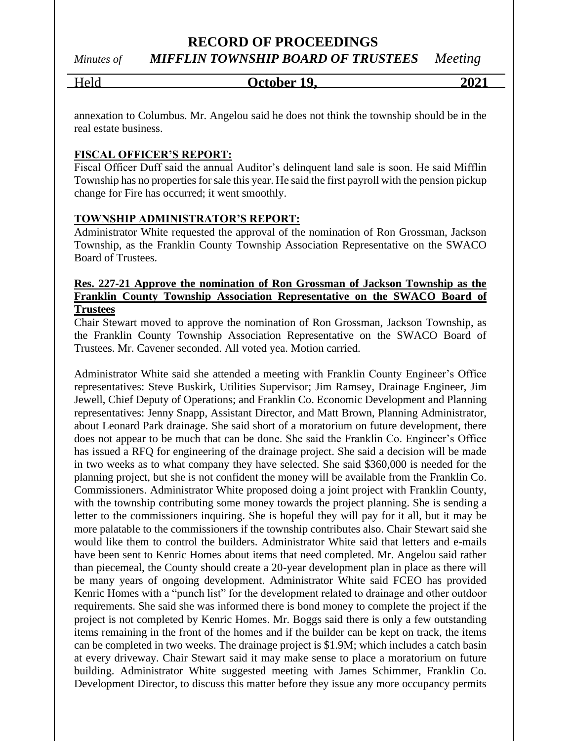*Minutes of MIFFLIN TOWNSHIP BOARD OF TRUSTEES Meeting*

## Held **October 19, 2021**

annexation to Columbus. Mr. Angelou said he does not think the township should be in the real estate business.

#### **FISCAL OFFICER'S REPORT:**

Fiscal Officer Duff said the annual Auditor's delinquent land sale is soon. He said Mifflin Township has no properties for sale this year. He said the first payroll with the pension pickup change for Fire has occurred; it went smoothly.

#### **TOWNSHIP ADMINISTRATOR'S REPORT:**

Administrator White requested the approval of the nomination of Ron Grossman, Jackson Township, as the Franklin County Township Association Representative on the SWACO Board of Trustees.

#### **Res. 227-21 Approve the nomination of Ron Grossman of Jackson Township as the Franklin County Township Association Representative on the SWACO Board of Trustees**

Chair Stewart moved to approve the nomination of Ron Grossman, Jackson Township, as the Franklin County Township Association Representative on the SWACO Board of Trustees. Mr. Cavener seconded. All voted yea. Motion carried.

Administrator White said she attended a meeting with Franklin County Engineer's Office representatives: Steve Buskirk, Utilities Supervisor; Jim Ramsey, Drainage Engineer, Jim Jewell, Chief Deputy of Operations; and Franklin Co. Economic Development and Planning representatives: Jenny Snapp, Assistant Director, and Matt Brown, Planning Administrator, about Leonard Park drainage. She said short of a moratorium on future development, there does not appear to be much that can be done. She said the Franklin Co. Engineer's Office has issued a RFQ for engineering of the drainage project. She said a decision will be made in two weeks as to what company they have selected. She said \$360,000 is needed for the planning project, but she is not confident the money will be available from the Franklin Co. Commissioners. Administrator White proposed doing a joint project with Franklin County, with the township contributing some money towards the project planning. She is sending a letter to the commissioners inquiring. She is hopeful they will pay for it all, but it may be more palatable to the commissioners if the township contributes also. Chair Stewart said she would like them to control the builders. Administrator White said that letters and e-mails have been sent to Kenric Homes about items that need completed. Mr. Angelou said rather than piecemeal, the County should create a 20-year development plan in place as there will be many years of ongoing development. Administrator White said FCEO has provided Kenric Homes with a "punch list" for the development related to drainage and other outdoor requirements. She said she was informed there is bond money to complete the project if the project is not completed by Kenric Homes. Mr. Boggs said there is only a few outstanding items remaining in the front of the homes and if the builder can be kept on track, the items can be completed in two weeks. The drainage project is \$1.9M; which includes a catch basin at every driveway. Chair Stewart said it may make sense to place a moratorium on future building. Administrator White suggested meeting with James Schimmer, Franklin Co. Development Director, to discuss this matter before they issue any more occupancy permits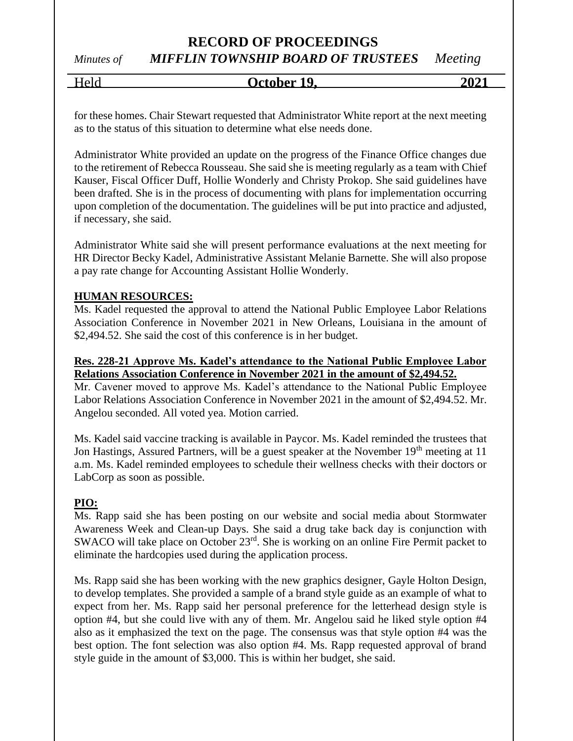# **RECORD OF PROCEEDINGS** *Minutes of MIFFLIN TOWNSHIP BOARD OF TRUSTEES Meeting*

# Held **October 19, 2021**

for these homes. Chair Stewart requested that Administrator White report at the next meeting as to the status of this situation to determine what else needs done.

Administrator White provided an update on the progress of the Finance Office changes due to the retirement of Rebecca Rousseau. She said she is meeting regularly as a team with Chief Kauser, Fiscal Officer Duff, Hollie Wonderly and Christy Prokop. She said guidelines have been drafted. She is in the process of documenting with plans for implementation occurring upon completion of the documentation. The guidelines will be put into practice and adjusted, if necessary, she said.

Administrator White said she will present performance evaluations at the next meeting for HR Director Becky Kadel, Administrative Assistant Melanie Barnette. She will also propose a pay rate change for Accounting Assistant Hollie Wonderly.

#### **HUMAN RESOURCES:**

Ms. Kadel requested the approval to attend the National Public Employee Labor Relations Association Conference in November 2021 in New Orleans, Louisiana in the amount of \$2,494.52. She said the cost of this conference is in her budget.

#### **Res. 228-21 Approve Ms. Kadel's attendance to the National Public Employee Labor Relations Association Conference in November 2021 in the amount of \$2,494.52.**

Mr. Cavener moved to approve Ms. Kadel's attendance to the National Public Employee Labor Relations Association Conference in November 2021 in the amount of \$2,494.52. Mr. Angelou seconded. All voted yea. Motion carried.

Ms. Kadel said vaccine tracking is available in Paycor. Ms. Kadel reminded the trustees that Jon Hastings, Assured Partners, will be a guest speaker at the November 19<sup>th</sup> meeting at 11 a.m. Ms. Kadel reminded employees to schedule their wellness checks with their doctors or LabCorp as soon as possible.

#### **PIO:**

Ms. Rapp said she has been posting on our website and social media about Stormwater Awareness Week and Clean-up Days. She said a drug take back day is conjunction with SWACO will take place on October 23<sup>rd</sup>. She is working on an online Fire Permit packet to eliminate the hardcopies used during the application process.

Ms. Rapp said she has been working with the new graphics designer, Gayle Holton Design, to develop templates. She provided a sample of a brand style guide as an example of what to expect from her. Ms. Rapp said her personal preference for the letterhead design style is option #4, but she could live with any of them. Mr. Angelou said he liked style option #4 also as it emphasized the text on the page. The consensus was that style option #4 was the best option. The font selection was also option #4. Ms. Rapp requested approval of brand style guide in the amount of \$3,000. This is within her budget, she said.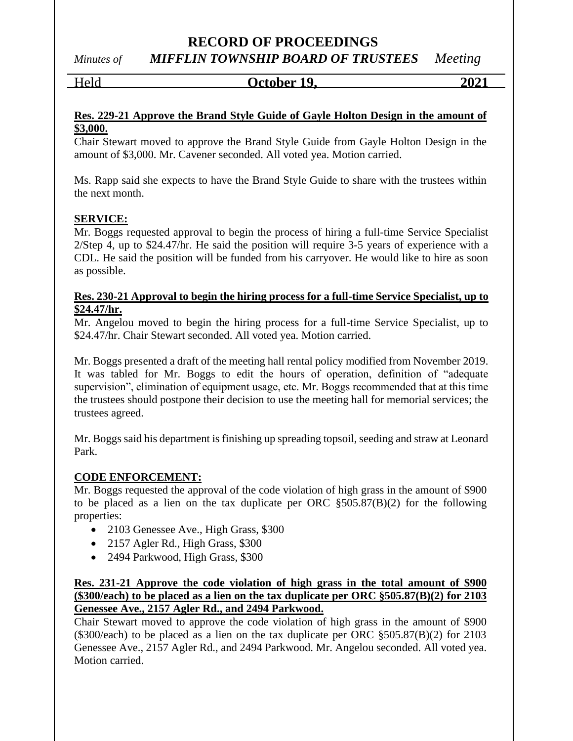*Minutes of MIFFLIN TOWNSHIP BOARD OF TRUSTEES Meeting*

Held **October 19, 2021**

#### **Res. 229-21 Approve the Brand Style Guide of Gayle Holton Design in the amount of \$3,000.**

Chair Stewart moved to approve the Brand Style Guide from Gayle Holton Design in the amount of \$3,000. Mr. Cavener seconded. All voted yea. Motion carried.

Ms. Rapp said she expects to have the Brand Style Guide to share with the trustees within the next month.

#### **SERVICE:**

Mr. Boggs requested approval to begin the process of hiring a full-time Service Specialist 2/Step 4, up to \$24.47/hr. He said the position will require 3-5 years of experience with a CDL. He said the position will be funded from his carryover. He would like to hire as soon as possible.

#### **Res. 230-21 Approval to begin the hiring process for a full-time Service Specialist, up to \$24.47/hr.**

Mr. Angelou moved to begin the hiring process for a full-time Service Specialist, up to \$24.47/hr. Chair Stewart seconded. All voted yea. Motion carried.

Mr. Boggs presented a draft of the meeting hall rental policy modified from November 2019. It was tabled for Mr. Boggs to edit the hours of operation, definition of "adequate supervision", elimination of equipment usage, etc. Mr. Boggs recommended that at this time the trustees should postpone their decision to use the meeting hall for memorial services; the trustees agreed.

Mr. Boggs said his department is finishing up spreading topsoil, seeding and straw at Leonard Park.

#### **CODE ENFORCEMENT:**

Mr. Boggs requested the approval of the code violation of high grass in the amount of \$900 to be placed as a lien on the tax duplicate per ORC §505.87(B)(2) for the following properties:

- 2103 Genessee Ave., High Grass, \$300
- 2157 Agler Rd., High Grass, \$300
- 2494 Parkwood, High Grass, \$300

#### **Res. 231-21 Approve the code violation of high grass in the total amount of \$900 (\$300/each) to be placed as a lien on the tax duplicate per ORC §505.87(B)(2) for 2103 Genessee Ave., 2157 Agler Rd., and 2494 Parkwood.**

Chair Stewart moved to approve the code violation of high grass in the amount of \$900 (\$300/each) to be placed as a lien on the tax duplicate per ORC §505.87(B)(2) for 2103 Genessee Ave., 2157 Agler Rd., and 2494 Parkwood. Mr. Angelou seconded. All voted yea. Motion carried.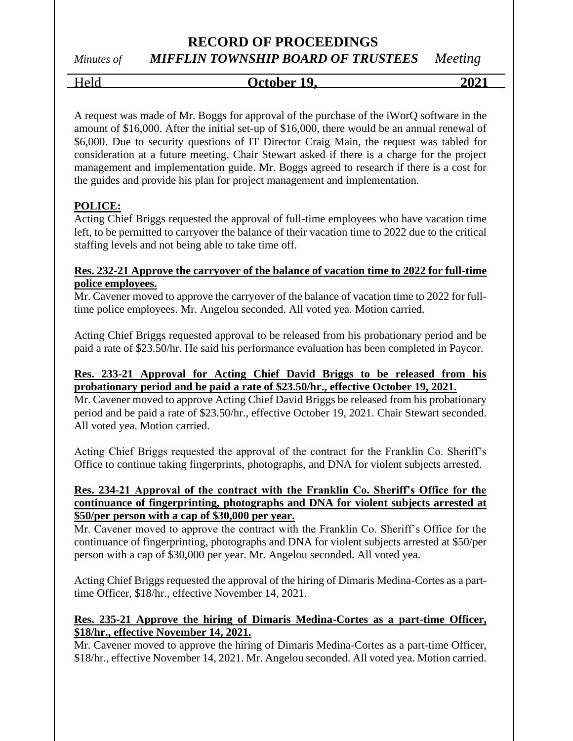# *Minutes of MIFFLIN TOWNSHIP BOARD OF TRUSTEES Meeting*

Held **October 19, 2021**

A request was made of Mr. Boggs for approval of the purchase of the iWorQ software in the amount of \$16,000. After the initial set-up of \$16,000, there would be an annual renewal of \$6,000. Due to security questions of IT Director Craig Main, the request was tabled for consideration at a future meeting. Chair Stewart asked if there is a charge for the project management and implementation guide. Mr. Boggs agreed to research if there is a cost for the guides and provide his plan for project management and implementation.

#### **POLICE:**

Acting Chief Briggs requested the approval of full-time employees who have vacation time left, to be permitted to carryover the balance of their vacation time to 2022 due to the critical staffing levels and not being able to take time off.

#### **Res. 232-21 Approve the carryover of the balance of vacation time to 2022 for full-time police employees.**

Mr. Cavener moved to approve the carryover of the balance of vacation time to 2022 for fulltime police employees. Mr. Angelou seconded. All voted yea. Motion carried.

Acting Chief Briggs requested approval to be released from his probationary period and be paid a rate of \$23.50/hr. He said his performance evaluation has been completed in Paycor.

#### **Res. 233-21 Approval for Acting Chief David Briggs to be released from his probationary period and be paid a rate of \$23.50/hr., effective October 19, 2021.**

Mr. Cavener moved to approve Acting Chief David Briggs be released from his probationary period and be paid a rate of \$23.50/hr., effective October 19, 2021. Chair Stewart seconded. All voted yea. Motion carried.

Acting Chief Briggs requested the approval of the contract for the Franklin Co. Sheriff's Office to continue taking fingerprints, photographs, and DNA for violent subjects arrested.

#### **Res. 234-21 Approval of the contract with the Franklin Co. Sheriff's Office for the continuance of fingerprinting, photographs and DNA for violent subjects arrested at \$50/per person with a cap of \$30,000 per year.**

Mr. Cavener moved to approve the contract with the Franklin Co. Sheriff's Office for the continuance of fingerprinting, photographs and DNA for violent subjects arrested at \$50/per person with a cap of \$30,000 per year. Mr. Angelou seconded. All voted yea.

Acting Chief Briggs requested the approval of the hiring of Dimaris Medina-Cortes as a parttime Officer, \$18/hr., effective November 14, 2021.

#### **Res. 235-21 Approve the hiring of Dimaris Medina-Cortes as a part-time Officer, \$18/hr., effective November 14, 2021.**

Mr. Cavener moved to approve the hiring of Dimaris Medina-Cortes as a part-time Officer, \$18/hr., effective November 14, 2021. Mr. Angelou seconded. All voted yea. Motion carried.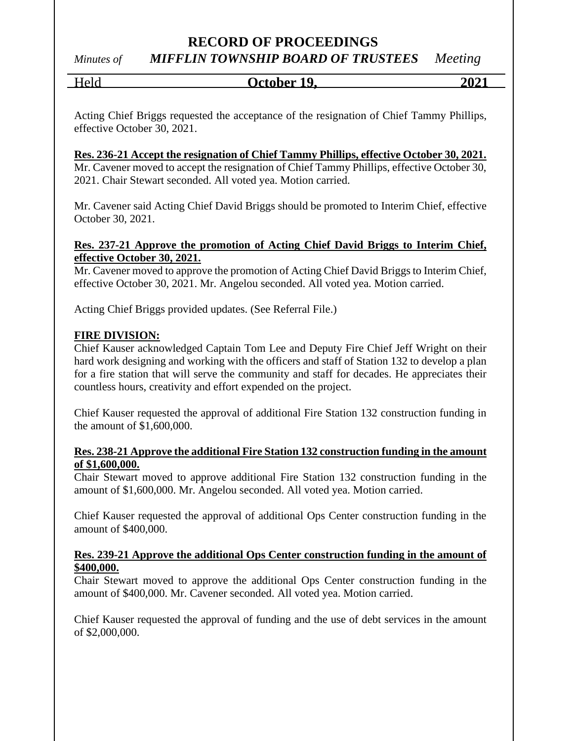# *Minutes of MIFFLIN TOWNSHIP BOARD OF TRUSTEES Meeting*

Held **October 19, 2021**

Acting Chief Briggs requested the acceptance of the resignation of Chief Tammy Phillips, effective October 30, 2021.

#### **Res. 236-21 Accept the resignation of Chief Tammy Phillips, effective October 30, 2021.**

Mr. Cavener moved to accept the resignation of Chief Tammy Phillips, effective October 30, 2021. Chair Stewart seconded. All voted yea. Motion carried.

Mr. Cavener said Acting Chief David Briggs should be promoted to Interim Chief, effective October 30, 2021.

#### **Res. 237-21 Approve the promotion of Acting Chief David Briggs to Interim Chief, effective October 30, 2021.**

Mr. Cavener moved to approve the promotion of Acting Chief David Briggs to Interim Chief, effective October 30, 2021. Mr. Angelou seconded. All voted yea. Motion carried.

Acting Chief Briggs provided updates. (See Referral File.)

#### **FIRE DIVISION:**

Chief Kauser acknowledged Captain Tom Lee and Deputy Fire Chief Jeff Wright on their hard work designing and working with the officers and staff of Station 132 to develop a plan for a fire station that will serve the community and staff for decades. He appreciates their countless hours, creativity and effort expended on the project.

Chief Kauser requested the approval of additional Fire Station 132 construction funding in the amount of \$1,600,000.

#### **Res. 238-21 Approve the additional Fire Station 132 construction funding in the amount of \$1,600,000.**

Chair Stewart moved to approve additional Fire Station 132 construction funding in the amount of \$1,600,000. Mr. Angelou seconded. All voted yea. Motion carried.

Chief Kauser requested the approval of additional Ops Center construction funding in the amount of \$400,000.

#### **Res. 239-21 Approve the additional Ops Center construction funding in the amount of \$400,000.**

Chair Stewart moved to approve the additional Ops Center construction funding in the amount of \$400,000. Mr. Cavener seconded. All voted yea. Motion carried.

Chief Kauser requested the approval of funding and the use of debt services in the amount of \$2,000,000.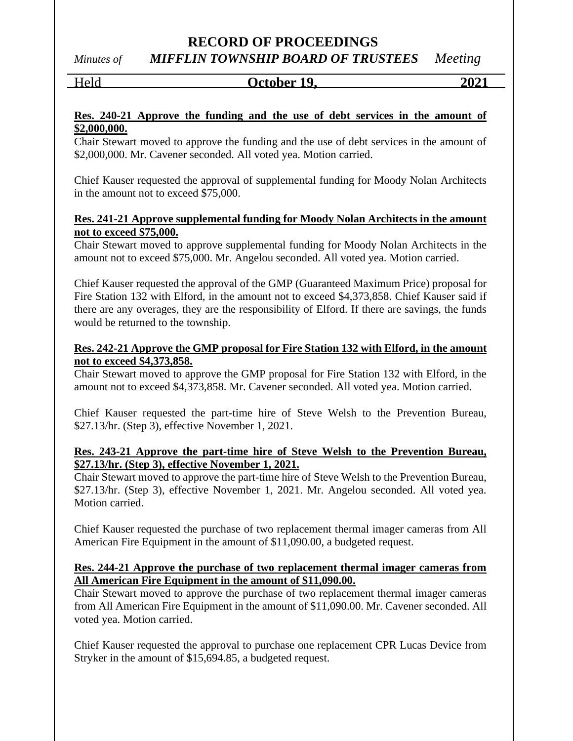*Minutes of MIFFLIN TOWNSHIP BOARD OF TRUSTEES Meeting*

# Held **October 19, 2021**

#### **Res. 240-21 Approve the funding and the use of debt services in the amount of \$2,000,000.**

Chair Stewart moved to approve the funding and the use of debt services in the amount of \$2,000,000. Mr. Cavener seconded. All voted yea. Motion carried.

Chief Kauser requested the approval of supplemental funding for Moody Nolan Architects in the amount not to exceed \$75,000.

#### **Res. 241-21 Approve supplemental funding for Moody Nolan Architects in the amount not to exceed \$75,000.**

Chair Stewart moved to approve supplemental funding for Moody Nolan Architects in the amount not to exceed \$75,000. Mr. Angelou seconded. All voted yea. Motion carried.

Chief Kauser requested the approval of the GMP (Guaranteed Maximum Price) proposal for Fire Station 132 with Elford, in the amount not to exceed \$4,373,858. Chief Kauser said if there are any overages, they are the responsibility of Elford. If there are savings, the funds would be returned to the township.

#### **Res. 242-21 Approve the GMP proposal for Fire Station 132 with Elford, in the amount not to exceed \$4,373,858.**

Chair Stewart moved to approve the GMP proposal for Fire Station 132 with Elford, in the amount not to exceed \$4,373,858. Mr. Cavener seconded. All voted yea. Motion carried.

Chief Kauser requested the part-time hire of Steve Welsh to the Prevention Bureau, \$27.13/hr. (Step 3), effective November 1, 2021.

#### **Res. 243-21 Approve the part-time hire of Steve Welsh to the Prevention Bureau, \$27.13/hr. (Step 3), effective November 1, 2021.**

Chair Stewart moved to approve the part-time hire of Steve Welsh to the Prevention Bureau, \$27.13/hr. (Step 3), effective November 1, 2021. Mr. Angelou seconded. All voted yea. Motion carried.

Chief Kauser requested the purchase of two replacement thermal imager cameras from All American Fire Equipment in the amount of \$11,090.00, a budgeted request.

#### **Res. 244-21 Approve the purchase of two replacement thermal imager cameras from All American Fire Equipment in the amount of \$11,090.00.**

Chair Stewart moved to approve the purchase of two replacement thermal imager cameras from All American Fire Equipment in the amount of \$11,090.00. Mr. Cavener seconded. All voted yea. Motion carried.

Chief Kauser requested the approval to purchase one replacement CPR Lucas Device from Stryker in the amount of \$15,694.85, a budgeted request.